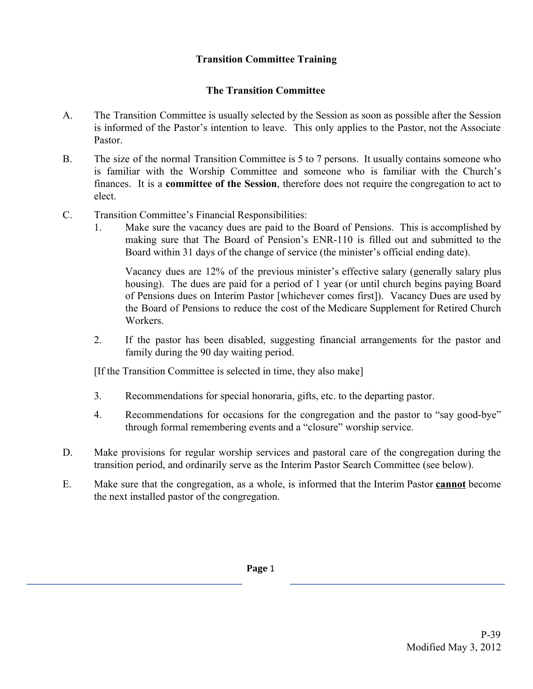## **Transition Committee Training**

## **The Transition Committee**

- A. The Transition Committee is usually selected by the Session as soon as possible after the Session is informed of the Pastor's intention to leave. This only applies to the Pastor, not the Associate Pastor.
- B. The size of the normal Transition Committee is 5 to 7 persons. It usually contains someone who is familiar with the Worship Committee and someone who is familiar with the Church's finances. It is a **committee of the Session**, therefore does not require the congregation to act to elect.
- C. Transition Committee's Financial Responsibilities:
	- 1. Make sure the vacancy dues are paid to the Board of Pensions. This is accomplished by making sure that The Board of Pension's ENR-110 is filled out and submitted to the Board within 31 days of the change of service (the minister's official ending date).

Vacancy dues are 12% of the previous minister's effective salary (generally salary plus housing). The dues are paid for a period of 1 year (or until church begins paying Board of Pensions dues on Interim Pastor [whichever comes first]). Vacancy Dues are used by the Board of Pensions to reduce the cost of the Medicare Supplement for Retired Church Workers.

2. If the pastor has been disabled, suggesting financial arrangements for the pastor and family during the 90 day waiting period.

[If the Transition Committee is selected in time, they also make]

- 3. Recommendations for special honoraria, gifts, etc. to the departing pastor.
- 4. Recommendations for occasions for the congregation and the pastor to "say good-bye" through formal remembering events and a "closure" worship service.
- D. Make provisions for regular worship services and pastoral care of the congregation during the transition period, and ordinarily serve as the Interim Pastor Search Committee (see below).
- E. Make sure that the congregation, as a whole, is informed that the Interim Pastor **cannot** become the next installed pastor of the congregation.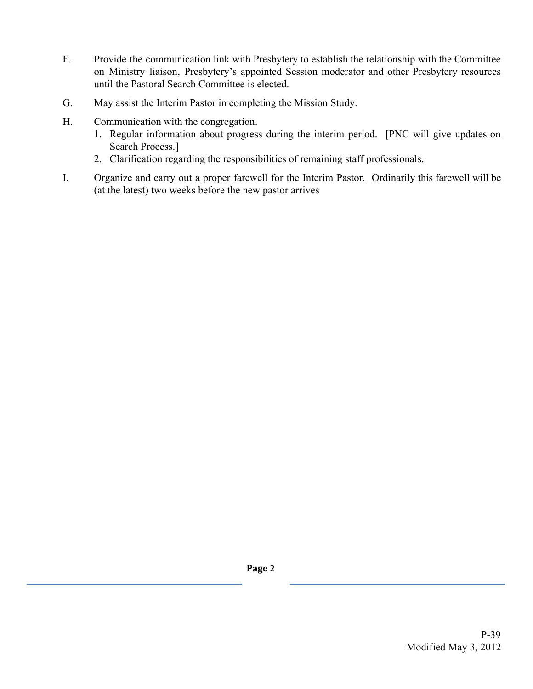- F. Provide the communication link with Presbytery to establish the relationship with the Committee on Ministry liaison, Presbytery's appointed Session moderator and other Presbytery resources until the Pastoral Search Committee is elected.
- G. May assist the Interim Pastor in completing the Mission Study.
- H. Communication with the congregation.
	- 1. Regular information about progress during the interim period. [PNC will give updates on Search Process.]
	- 2. Clarification regarding the responsibilities of remaining staff professionals.
- I. Organize and carry out a proper farewell for the Interim Pastor. Ordinarily this farewell will be (at the latest) two weeks before the new pastor arrives

**Page** 2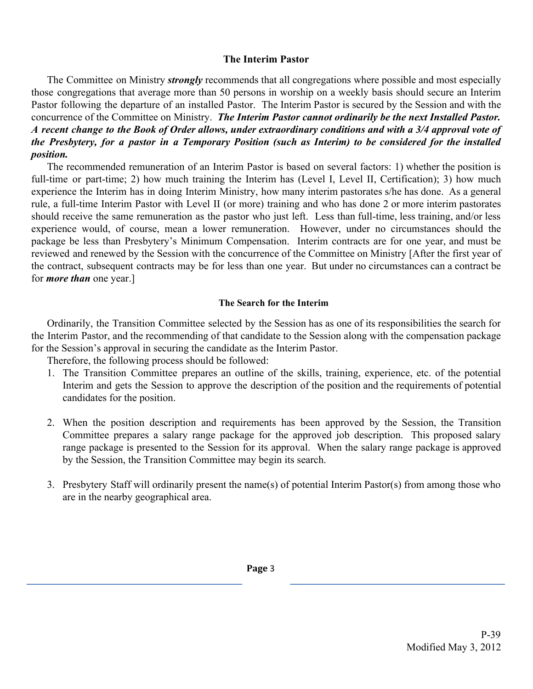## **The Interim Pastor**

The Committee on Ministry *strongly* recommends that all congregations where possible and most especially those congregations that average more than 50 persons in worship on a weekly basis should secure an Interim Pastor following the departure of an installed Pastor. The Interim Pastor is secured by the Session and with the concurrence of the Committee on Ministry. *The Interim Pastor cannot ordinarily be the next Installed Pastor.* A recent change to the Book of Order allows, under extraordinary conditions and with a 3/4 approval vote of the Presbytery, for a pastor in a Temporary Position (such as Interim) to be considered for the installed *position.*

The recommended remuneration of an Interim Pastor is based on several factors: 1) whether the position is full-time or part-time; 2) how much training the Interim has (Level I, Level II, Certification); 3) how much experience the Interim has in doing Interim Ministry, how many interim pastorates s/he has done. As a general rule, a full-time Interim Pastor with Level II (or more) training and who has done 2 or more interim pastorates should receive the same remuneration as the pastor who just left. Less than full-time, less training, and/or less experience would, of course, mean a lower remuneration. However, under no circumstances should the package be less than Presbytery's Minimum Compensation. Interim contracts are for one year, and must be reviewed and renewed by the Session with the concurrence of the Committee on Ministry [After the first year of the contract, subsequent contracts may be for less than one year. But under no circumstances can a contract be for *more than* one year.]

## **The Search for the Interim**

Ordinarily, the Transition Committee selected by the Session has as one of its responsibilities the search for the Interim Pastor, and the recommending of that candidate to the Session along with the compensation package for the Session's approval in securing the candidate as the Interim Pastor.

Therefore, the following process should be followed:

- 1. The Transition Committee prepares an outline of the skills, training, experience, etc. of the potential Interim and gets the Session to approve the description of the position and the requirements of potential candidates for the position.
- 2. When the position description and requirements has been approved by the Session, the Transition Committee prepares a salary range package for the approved job description. This proposed salary range package is presented to the Session for its approval. When the salary range package is approved by the Session, the Transition Committee may begin its search.
- 3. Presbytery Staff will ordinarily present the name(s) of potential Interim Pastor(s) from among those who are in the nearby geographical area.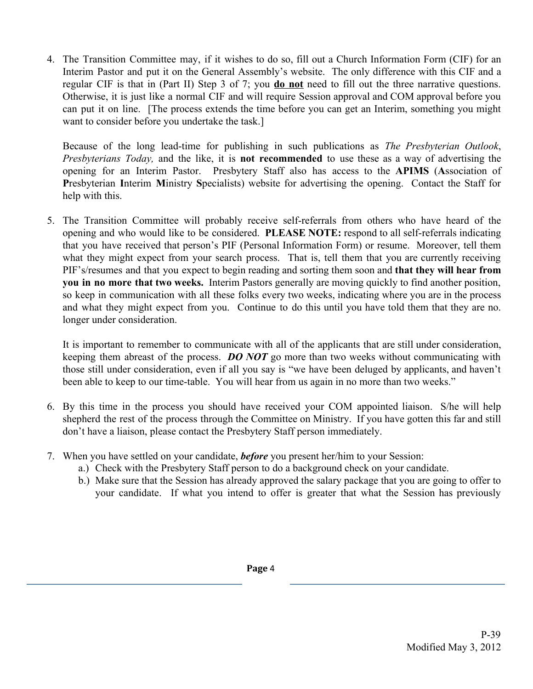4. The Transition Committee may, if it wishes to do so, fill out a Church Information Form (CIF) for an Interim Pastor and put it on the General Assembly's website. The only difference with this CIF and a regular CIF is that in (Part II) Step 3 of 7; you **do not** need to fill out the three narrative questions. Otherwise, it is just like a normal CIF and will require Session approval and COM approval before you can put it on line. [The process extends the time before you can get an Interim, something you might want to consider before you undertake the task.]

Because of the long lead-time for publishing in such publications as *The Presbyterian Outlook*, *Presbyterians Today,* and the like, it is **not recommended** to use these as a way of advertising the opening for an Interim Pastor. Presbytery Staff also has access to the **APIMS** (**A**ssociation of **P**resbyterian **I**nterim **M**inistry **S**pecialists) website for advertising the opening. Contact the Staff for help with this.

5. The Transition Committee will probably receive self-referrals from others who have heard of the opening and who would like to be considered. **PLEASE NOTE:** respond to all self-referrals indicating that you have received that person's PIF (Personal Information Form) or resume. Moreover, tell them what they might expect from your search process. That is, tell them that you are currently receiving PIF's/resumes and that you expect to begin reading and sorting them soon and **that they will hear from you in no more that two weeks.** Interim Pastors generally are moving quickly to find another position, so keep in communication with all these folks every two weeks, indicating where you are in the process and what they might expect from you. Continue to do this until you have told them that they are no. longer under consideration.

It is important to remember to communicate with all of the applicants that are still under consideration, keeping them abreast of the process. *DO NOT* go more than two weeks without communicating with those still under consideration, even if all you say is "we have been deluged by applicants, and haven't been able to keep to our time-table. You will hear from us again in no more than two weeks."

- 6. By this time in the process you should have received your COM appointed liaison. S/he will help shepherd the rest of the process through the Committee on Ministry. If you have gotten this far and still don't have a liaison, please contact the Presbytery Staff person immediately.
- 7. When you have settled on your candidate, *before* you present her/him to your Session:
	- a.) Check with the Presbytery Staff person to do a background check on your candidate.
	- b.) Make sure that the Session has already approved the salary package that you are going to offer to your candidate. If what you intend to offer is greater that what the Session has previously